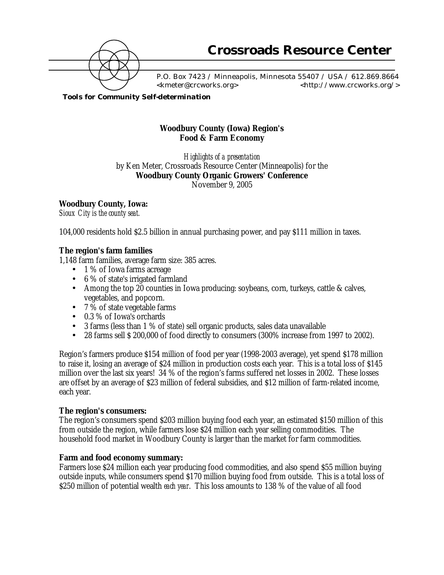

 P.O. Box 7423 / Minneapolis, Minnesota 55407 / USA / 612.869.8664 <kmeter@crcworks.org> <http://www.crcworks.org/>

*Tools for Community Self-determination*

# **Woodbury County (Iowa) Region's Food & Farm Economy**

*Highlights of a presentation* by Ken Meter, Crossroads Resource Center (Minneapolis) for the **Woodbury County Organic Growers' Conference** November 9, 2005

#### **Woodbury County, Iowa:**

*Sioux City is the county seat.*

104,000 residents hold \$2.5 billion in annual purchasing power, and pay \$111 million in taxes.

#### **The region's farm families**

1,148 farm families, average farm size: 385 acres.

- 1 % of Iowa farms acreage
- 6 % of state's irrigated farmland
- Among the top 20 counties in Iowa producing: soybeans, corn, turkeys, cattle & calves, vegetables, and popcorn.
- $7\%$  of state vegetable farms
- 0.3 % of Iowa's orchards
- 3 farms (less than 1 % of state) sell organic products, sales data unavailable
- 28 farms sell \$ 200,000 of food directly to consumers (300% increase from 1997 to 2002).

Region's farmers produce \$154 million of food per year (1998-2003 average), yet spend \$178 million to raise it, losing an average of \$24 million in production costs each year. This is a total loss of \$145 million over the last six years! 34 % of the region's farms suffered net losses in 2002. These losses are offset by an average of \$23 million of federal subsidies, and \$12 million of farm-related income, each year.

#### **The region's consumers:**

The region's consumers spend \$203 million buying food each year, an estimated \$150 million of this from outside the region, while farmers lose \$24 million each year selling commodities. The household food market in Woodbury County is larger than the market for farm commodities.

#### **Farm and food economy summary:**

Farmers lose \$24 million each year producing food commodities, and also spend \$55 million buying outside inputs, while consumers spend \$170 million buying food from outside. This is a total loss of \$250 million of potential wealth *each year*. This loss amounts to 138 % of the value of all food